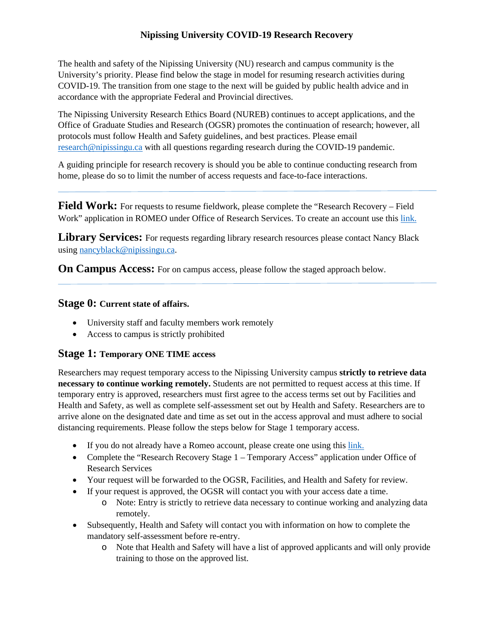# **Nipissing University COVID-19 Research Recovery**

The health and safety of the Nipissing University (NU) research and campus community is the University's priority. Please find below the stage in model for resuming research activities during COVID-19. The transition from one stage to the next will be guided by public health advice and in accordance with the appropriate Federal and Provincial directives.

The Nipissing University Research Ethics Board (NUREB) continues to accept applications, and the Office of Graduate Studies and Research (OGSR) promotes the continuation of research; however, all protocols must follow Health and Safety guidelines, and best practices. Please email [research@nipissingu.ca](mailto:research@nipissingu.ca) with all questions regarding research during the COVID-19 pandemic.

A guiding principle for research recovery is should you be able to continue conducting research from home, please do so to limit the number of access requests and face-to-face interactions.

**Field Work:** For requests to resume fieldwork, please complete the "Research Recovery – Field Work" application in ROMEO under Office of Research Services. To create an account use this [link.](https://nipissing.researchservicesoffice.com/Romeo.Researcher/(S(dddrvxwzle3niztqzdisreu2))/Login.aspx?ReturnUrl=/romeo.researcher/default.aspx)

Library Services: For requests regarding library research resources please contact Nancy Black usin[g nancyblack@nipissingu.ca.](mailto:nancyblack@nipissingu.ca)

**On Campus Access:** For on campus access, please follow the staged approach below.

### **Stage 0: Current state of affairs.**

- University staff and faculty members work remotely
- Access to campus is strictly prohibited

#### **Stage 1: Temporary ONE TIME access**

Researchers may request temporary access to the Nipissing University campus **strictly to retrieve data necessary to continue working remotely.** Students are not permitted to request access at this time. If temporary entry is approved, researchers must first agree to the access terms set out by Facilities and Health and Safety, as well as complete self-assessment set out by Health and Safety. Researchers are to arrive alone on the designated date and time as set out in the access approval and must adhere to social distancing requirements. Please follow the steps below for Stage 1 temporary access.

- If you do not already have a Romeo account, please create one using this [link.](https://nipissing.researchservicesoffice.com/Romeo.Researcher/(S(dddrvxwzle3niztqzdisreu2))/Login.aspx?ReturnUrl=/romeo.researcher/default.aspx)
- Complete the "Research Recovery Stage 1 Temporary Access" application under Office of Research Services
- Your request will be forwarded to the OGSR, Facilities, and Health and Safety for review.
- If your request is approved, the OGSR will contact you with your access date a time.
	- o Note: Entry is strictly to retrieve data necessary to continue working and analyzing data remotely.
- Subsequently, Health and Safety will contact you with information on how to complete the mandatory self-assessment before re-entry.
	- o Note that Health and Safety will have a list of approved applicants and will only provide training to those on the approved list.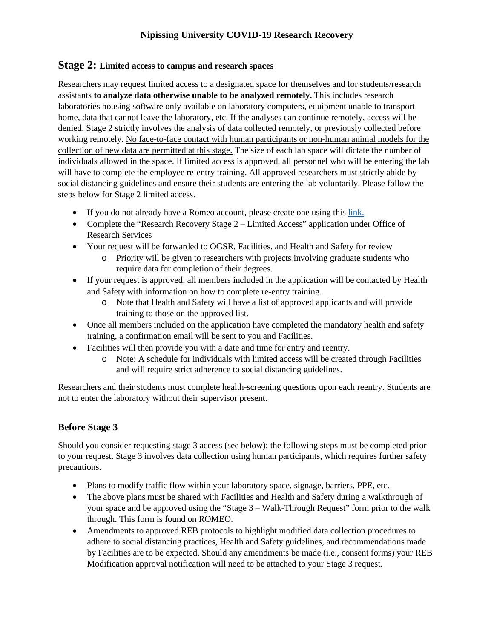# **Nipissing University COVID-19 Research Recovery**

#### **Stage 2: Limited access to campus and research spaces**

Researchers may request limited access to a designated space for themselves and for students/research assistants **to analyze data otherwise unable to be analyzed remotely.** This includes research laboratories housing software only available on laboratory computers, equipment unable to transport home, data that cannot leave the laboratory, etc. If the analyses can continue remotely, access will be denied. Stage 2 strictly involves the analysis of data collected remotely, or previously collected before working remotely. No face-to-face contact with human participants or non-human animal models for the collection of new data are permitted at this stage. The size of each lab space will dictate the number of individuals allowed in the space. If limited access is approved, all personnel who will be entering the lab will have to complete the employee re-entry training. All approved researchers must strictly abide by social distancing guidelines and ensure their students are entering the lab voluntarily. Please follow the steps below for Stage 2 limited access.

- If you do not already have a Romeo account, please create one using this [link.](https://nipissing.researchservicesoffice.com/Romeo.Researcher/(S(dddrvxwzle3niztqzdisreu2))/Login.aspx?ReturnUrl=/romeo.researcher/default.aspx)
- Complete the "Research Recovery Stage 2 Limited Access" application under Office of Research Services
- Your request will be forwarded to OGSR, Facilities, and Health and Safety for review
	- o Priority will be given to researchers with projects involving graduate students who require data for completion of their degrees.
- If your request is approved, all members included in the application will be contacted by Health and Safety with information on how to complete re-entry training.
	- o Note that Health and Safety will have a list of approved applicants and will provide training to those on the approved list.
- Once all members included on the application have completed the mandatory health and safety training, a confirmation email will be sent to you and Facilities.
- Facilities will then provide you with a date and time for entry and reentry.
	- o Note: A schedule for individuals with limited access will be created through Facilities and will require strict adherence to social distancing guidelines.

Researchers and their students must complete health-screening questions upon each reentry. Students are not to enter the laboratory without their supervisor present.

#### **Before Stage 3**

Should you consider requesting stage 3 access (see below); the following steps must be completed prior to your request. Stage 3 involves data collection using human participants, which requires further safety precautions.

- Plans to modify traffic flow within your laboratory space, signage, barriers, PPE, etc.
- The above plans must be shared with Facilities and Health and Safety during a walkthrough of your space and be approved using the "Stage 3 – Walk-Through Request" form prior to the walk through. This form is found on ROMEO.
- Amendments to approved REB protocols to highlight modified data collection procedures to adhere to social distancing practices, Health and Safety guidelines, and recommendations made by Facilities are to be expected. Should any amendments be made (i.e., consent forms) your REB Modification approval notification will need to be attached to your Stage 3 request.